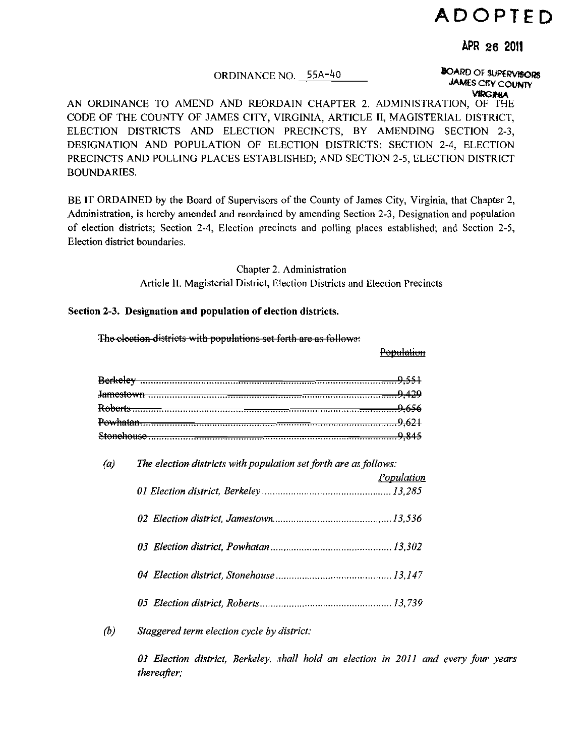# **ADOPTED**

# APR 26 2011

## ORDINANCE NO. 55A-40

**BOARD OF SUPERVISORS JAMES CITY COUNTY VIRGINIA** 

AN ORDINANCE TO AMEND AND REORDAIN CHAPTER 2. ADMINISTRATION, OF THE CODE OF THE COUNTY OF JAMES CITY, VIRGINIA, ARTICLE II, MAGISTERIAL DISTRICT, ELECTION DISTRICTS AND ELECTION PRECINCTS, BY AMENDING SECTION 2-3, DESIGNATION AND POPULATION OF ELECTION DISTRICTS; SECTION 2-4, ELECTION PRECINCTS AND POLLING PLACES ESTABLISHED; AND SECTION 2-5, ELECTION DISTRICT **BOUNDARIES.** 

BE IT ORDAINED by the Board of Supervisors of the County of James City, Virginia, that Chapter 2, Administration, is hereby amended and reordained by amending Section 2-3, Designation and population of election districts; Section 2-4, Election precincts and polling places established; and Section 2-5, Election district boundaries.

> Chapter 2. Administration Article II. Magisterial District, Election Districts and Election Precincts

> > Population

#### Section 2-3. Designation and population of election districts.

The election districts with populations set forth are as follows:

| (a)                        | The election districts with population set forth are as follows: |
|----------------------------|------------------------------------------------------------------|
|                            | Population                                                       |
|                            |                                                                  |
|                            |                                                                  |
|                            |                                                                  |
|                            |                                                                  |
| $\left(\frac{b}{c}\right)$ | Staggered term election cycle by district:                       |

01 Election district, Berkeley, shall hold an election in 2011 and every four years thereafter;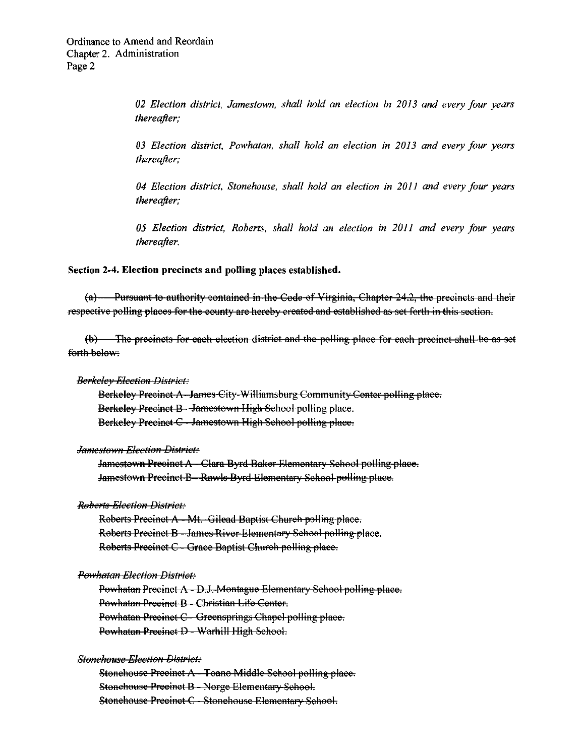02 Election district, Jamestown, shall hold an election in 2013 and every four years thereafter;

03 Election district, Powhatan, shall hold an election in 2013 and every four years thereafter;

04 Election district, Stonehouse, shall hold an election in 2011 and every four years thereafter;

05 Election district, Roberts, shall hold an election in 2011 and every four years thereafter.

Section 2-4. Election precincts and polling places established.

 $(a)$  - Pursuant to authority contained in the Code of Virginia, Chapter 24.2, the precincts and their respective polling places for the county are hereby created and established as set forth in this section.

(b) The precincts for each election district and the polling place for each precinct shall be as set forth below:

**Berkelev Election District:** 

Berkeley Precinct A-James City-Williamsburg Community Center polling place. Berkeley Precinct B - Jamestown High Sehool polling place. Berkeley Precinct C - Jamestown High School polling place.

**Jamestown Election District:** 

Jamestown Precinct A - Clara Byrd Baker Elementary School polling place. Jamestown Precinct B-Rawls Byrd Elementary School polling place.

**Roberts Election District:** 

Roberts Precinct A - Mt. Gilead Baptist Church polling place. Roberts Precinct B - James River-Elementary School polling place. Roberts Precinct C - Grace Baptist Church polling place.

### Powhatan Election District:

Powhatan Precinct A - D.J. Montague Elementary School polling place. Powhatan-Precinct B - Christian Life Center. Powhatan Precinct C - Greensprings Chapel polling place. Powhatan Precinct D - Warhill High School.

**Stonehouse Election District:** 

Stonehouse Precinct A-Toano Middle School polling place. Stonehouse Preeinet B - Norge Elementary Sehool. Stonehouse Precinet C - Stonehouse Elementary School.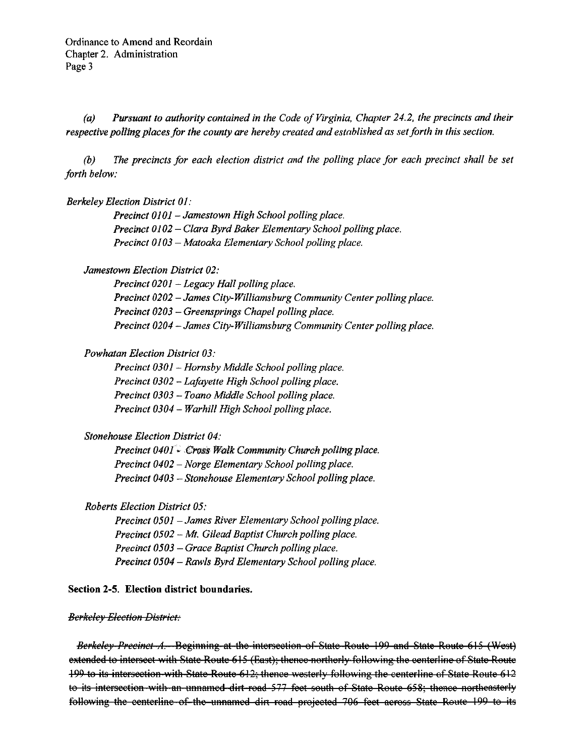Pursuant to authority contained in the Code of Virginia, Chapter 24.2, the precincts and their  $(a)$ respective polling places for the county are hereby created and established as set forth in this section.

The precincts for each election district and the polling place for each precinct shall be set  $(b)$ forth below:

## **Berkeley Election District 01:**

Precinct 0101 - Jamestown High School polling place. Precinct 0102 - Clara Byrd Baker Elementary School polling place. Precinct 0103 - Matoaka Elementary School polling place.

## Jamestown Election District 02:

Precinct 0201 - Legacy Hall polling place. Precinct 0202 - James City-Williamsburg Community Center polling place. Precinct 0203 - Greensprings Chapel polling place. Precinct 0204 - James City-Williamsburg Community Center polling place.

# **Powhatan Election District 03:**

Precinct 0301 - Hornsby Middle School polling place. Precinct 0302 - Lafayette High School polling place. Precinct 0303 - Toano Middle School polling place. Precinct 0304 - Warhill High School polling place.

## **Stonehouse Election District 04:**

Precinct 0401 Cross Walk Community Church polling place. Precinct 0402 - Norge Elementary School polling place. Precinct 0403 - Stonehouse Elementary School polling place.

## **Roberts Election District 05:**

Precinct 0501 - James River Elementary School polling place. Precinct 0502 - Mt. Gilead Baptist Church polling place. Precinct 0503 - Grace Baptist Church polling place. Precinct 0504 - Rawls Byrd Elementary School polling place.

## Section 2-5. Election district boundaries.

### **Berkeley Election District:**

Berkeley Precinct A. Beginning at the intersection of State Route 199 and State Route 615 (West) extended to intersect with State Route 615 (East); thence northerly following the centerline of State Route 199 to its intersection with State Route 612; thence westerly following the centerline of State Route 612 to its intersection with an unnamed dirt-road 577 feet south of State Route 658; thence northeasterly following the centerline of the unnamed dirt road projected 706 feet across State Route 199 to its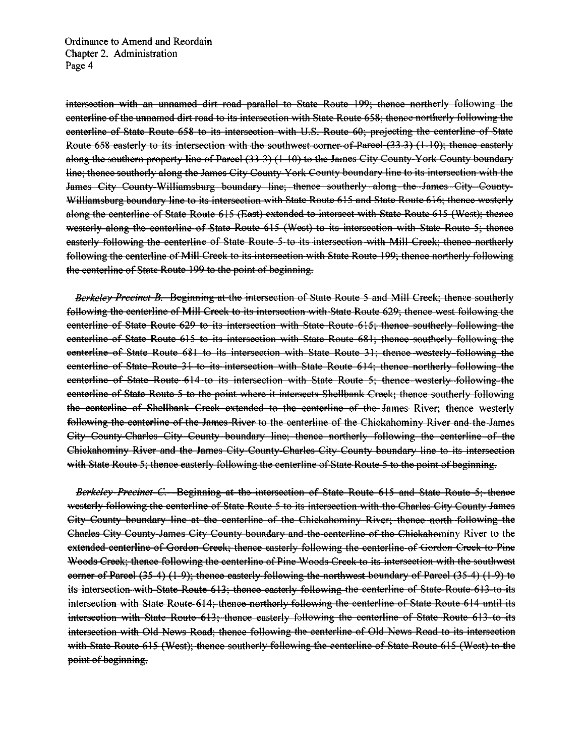intersection with an unnamed dirt road parallel to State Route 199; thence northerly following the eenterline of the unnamed dirt road to its intersection with State Route 658; thence northerly following the eenterline of State Route 658 to its intersection with U.S. Route 60; projecting the centerline of State Route 658 easterly to its intersection with the southwest corner of Parcel (33-3) (1-10); thence easterly along the southern property line of Parcel (33-3) (1-10) to the James City County-York County boundary line; thence southerly along the James City County-York County boundary line to its intersection with the James City County-Williamsburg boundary line; thence southerly along the James City County-Williamsburg boundary line to its intersection with State Route 615 and State Route 616; thence westerly along the centerline of State Route 615 (East) extended to intersect with State Route 615 (West); thence westerly along the centerline of State Route 615 (West) to its intersection with State Route 5; thence easterly following the centerline of State Route 5 to its intersection with Mill Creek; thence northerly following the centerline of Mill Creek to its intersection with State Route 199; thence northerly following the centerline of State Route 199 to the point of beginning.

Berkeley Precinct B. Beginning at the intersection of State Route 5 and Mill Creek; thence southerly following the centerline of Mill Creek to its intersection with State Route 629; thence west following the eenterline of State Route 629 to its intersection with State Route 615; thence southerly following the eenterline of State Route 615 to its intersection with State Route 681; thence-southerly following the eenterline of State Route 681 to its intersection with State Route 31; thence westerly-following the eenterline of State Route 31 to its intersection with State Route 614; thence northerly following the eenterline of State Route 614 to its intersection with State Route 5; thence westerly following the eenterline of State Route 5 to the point where it intersects Shellbank Creek; thence southerly following the centerline of Shellbank Creek extended to the centerline of the James River; thence westerly following the centerline of the James River to the centerline of the Chickahominy River and the James City County-Charles City County boundary line; thence northerly following the centerline of the Chickahominy River and the James City-County-Charles-City-County boundary line to its intersection with State Route 5; thence easterly following the centerline of State Route 5 to the point of beginning.

Berkeley-Precinct-C. Beginning at the intersection of State Route 615 and State Route 5; thenee westerly following the centerline of State Route 5 to its intersection with the Charles City County James City County boundary line at the centerline of the Chickahominy River; thence north following the Charles City County-James City County boundary and the centerline of the Chickahominy River to the extended centerline of Gordon Creek; thence easterly following the centerline of Gordon Creek to Pine Woods Creek; thence following the centerline of Pine-Woods Creek to its intersection with the southwest eorner of Parcel (35-4) (1-9); thence easterly following the northwest boundary of Parcel (35-4) (1-9) to its intersection with State Route 613; thence easterly following the centerline of State Route 613 to its intersection with State Route 614; thence northerly following the centerline of State Route 614 until its intersection with State Route 613; thence easterly following the centerline of State Route 613 to its intersection with Old News Road; thence following the centerline of Old News Road to its intersection with State Route 615 (West); thence southerly following the centerline of State Route 615 (West) to the point of beginning.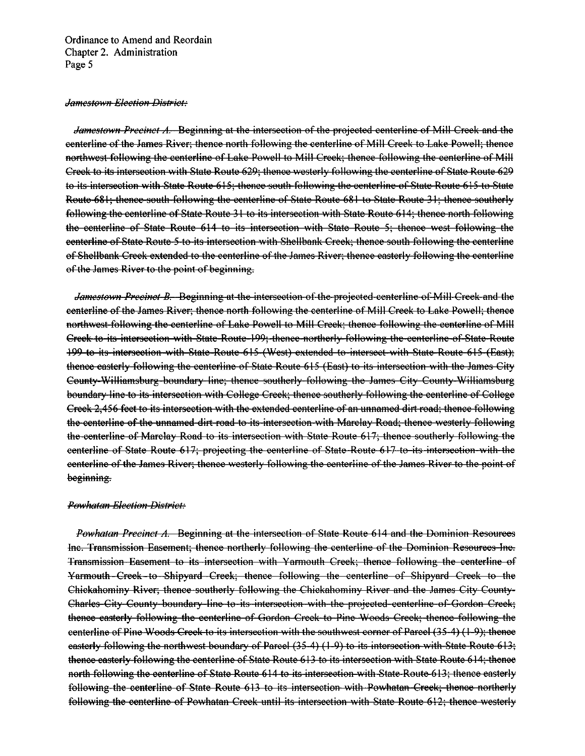#### Jamestown Election District:

Jamestown Precinct A. Beginning at the intersection of the projected centerline of Mill Creek and the eenterline of the James River; thence north following the centerline of Mill Creek to Lake Powell; thence northwest-following the centerline of Lake Powell to Mill Creek; thence following the centerline of Mill Creek to its intersection with State Route 629; thence westerly following the centerline of State Route 629 to its intersection with State Route 615; thence south following the centerline of State Route 615 to State Route-681; thence-south-following the centerline of State Route 681 to State Route 31; thence southerly following the centerline of State Route 31 to its intersection with State Route 614; thence north following the centerline of State Route 614 to its intersection with State Route 5; thence west following the eenterline of State Route 5 to its intersection with Shellbank Creek; thence south following the centerline of Shellbank Creek extended to the centerline of the James River; thence easterly following the centerline of the James River to the point of beginning.

Jamestown Precinct B. Beginning at the intersection of the projected centerline of Mill Creek and the centerline of the James River; thence north following the centerline of Mill Creek to Lake Powell; thence northwest following the centerline of Lake Powell to Mill Creek; thence following the centerline of Mill Creek to its intersection with State Route-199; thence northerly following the centerline of State Route 199 to its intersection with State Route 615 (West) extended to intersect with State Route 615 (East); thence easterly following the centerline of State Route 615 (East) to its intersection with the James City County-Williamsburg-boundary line; thence southerly following the James City County-Williamsburg boundary line to its intersection with College Creek; thence southerly following the centerline of College Creek 2,456 feet to its intersection with the extended centerline of an unnamed dirt road; thence following the centerline of the unnamed dirt road to its intersection with Marclay Road; thence westerly following the centerline of Marclay Road to its intersection with State Route 617; thence southerly following the eenterline of State Route 617; projecting the centerline of State Route 617 to its intersection with the eenterline of the James River; thence westerly following the centerline of the James River to the point of beginning.

#### **Powhatan Election District:**

**Powhatan Precinct A. Beginning at the intersection of State Route 614 and the Dominion Resources** Inc. Transmission Easement; thence northerly following the centerline of the Dominion Resources Inc. Transmission Easement to its intersection with Yarmouth Creek; thence following the centerline of Yarmouth Creek to Shipyard Creek; thence following the centerline of Shipyard Creek to the Chickahominy River; thence southerly following the Chickahominy River and the James City County-Charles-City-County-boundary-line to its intersection with the projected-centerline of Gordon Creek; thence easterly following the centerline of Gordon Creek to Pine Woods Creek; thence following the eenterline of Pine Woods Creek to its intersection with the southwest corner of Parcel (35-4) (1-9); thenee easterly following the northwest boundary of Parcel (35-4) (1-9) to its intersection with State Route 613; thence easterly following the centerline of State Route 613 to its intersection with State Route 614; thence north following the centerline of State Route 614 to its intersection with State Route 613; thence easterly following the centerline of State Route 613 to its intersection with Powhatan Creek; thence northerly following the centerline of Powhatan Creek until its intersection with State Route 612; thence westerly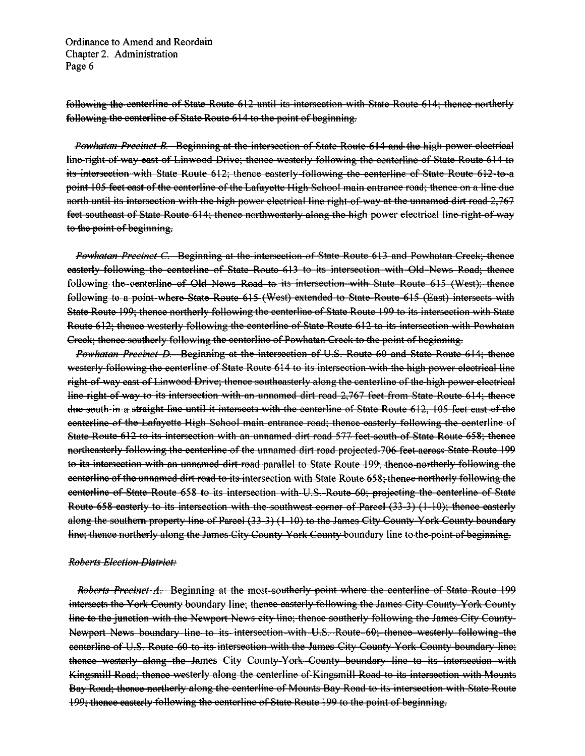following the centerline of State Route 612 until its intersection with State Route 614; thence northerly following the centerline of State Route 614 to the point of beginning.

Powhatan Precinct B. Beginning at the intersection of State Route 614 and the high power electrical line-right-of-way east of Linwood Drive; thence westerly following the centerline of State Route 614 to its intersection with State Route 612; thence easterly following the centerline of State Route 612-to a point 105 feet east of the centerline of the Lafayette High School main entrance road; thence on a line due north until its intersection with the high power electrical line right of way at the unnamed dirt road 2.767 feet southeast of State Route 614; thence northwesterly along the high power electrical line right-of-way to the point of beginning.

Powhatan Precinct C. Beginning at the intersection of State Route 613 and Powhatan Creek; thence easterly following the centerline of State Route 613 to its intersection with Old News Road; thenee following the centerline of Old News Road to its intersection with State Route 615 (West); thenee following to a point-where State Route 615 (West) extended to State Route 615 (East) intersects with State Route 199; thence northerly following the centerline of State Route 199 to its intersection with State Route 612; thence westerly following the centerline of State Route 612 to its intersection with Powhatan Creek; thence southerly following the centerline of Powhatan Creek to the point of beginning.

Powhatan Precinct D. Beginning at the intersection of U.S. Route 60 and State Route 614; thence westerly following the centerline of State Route 614 to its intersection with the high power electrical line right-of-way east of Linwood Drive; thence southeasterly along the centerline of the high-power electrical line right of way to its intersection with an unnamed dirt road 2,767 feet from State Route 614; thenee due south in a straight line until it intersects with the centerline of State Route 612, 105 feet east of the eenterline of the Lafayette High School main entrance road; thence easterly following the centerline of State-Route 612 to its intersection with an unnamed dirt road 577 feet south of State Route 658; thence northeasterly following the centerline of the unnamed dirt road projected 706 feet across State Route 199 to its intersection with an unnamed dirt road parallel to State Route 199; thence northerly following the eenterline of the unnamed dirt road to its intersection with State Route 658; thence northerly following the eenterline of State Route 658 to its intersection with U.S. Route 60; projecting the centerline of State Route 658 easterly to its intersection with the southwest corner of Parcel (33-3) (1-10); thence easterly along the southern property-line of Parcel (33-3) (1-10) to the James City County-York County boundary line; thence northerly along the James City County-York County boundary line to the point of beginning.

#### **Roberts Election District:**

*Roberts Precinct A*. Beginning at the most-southerly point where the centerline of State Route 199 intersects the York County boundary line; thence easterly following the James City County York County line to the junction with the Newport News city line; thence southerly following the James City County-Newport News boundary line to its intersection with U.S. Route 60; thence westerly following the centerline of U.S. Route 60 to its intersection with the James City County-York County boundary line; thence westerly along the James City County-York County boundary line to its intersection with Kingsmill Road; thence westerly along the centerline of Kingsmill Road to its intersection with Mounts Bay Road; thence northerly along the centerline of Mounts Bay Road to its intersection with State Route 199; thence easterly following the centerline of State Route 199 to the point of beginning.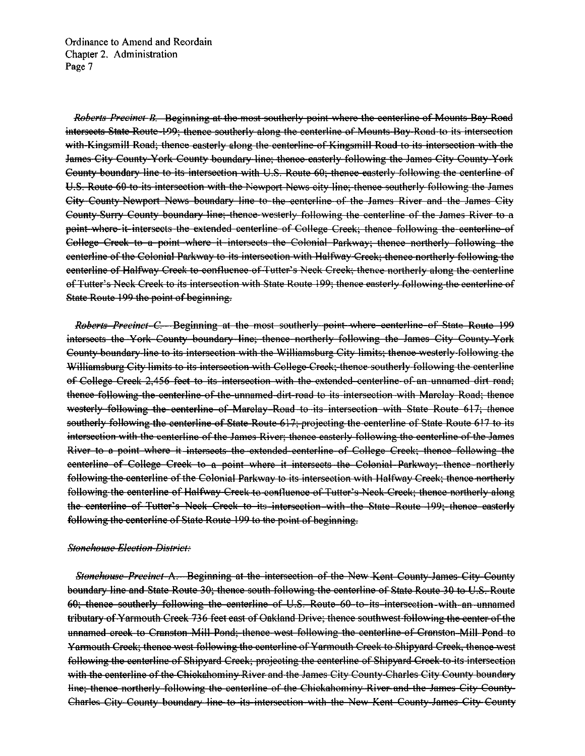Roberts Precinct B. Beginning at the most southerly point where the centerline of Mounts Bay Road intersects State Route 199; thence southerly along the centerline of Mounts Bay Road to its intersection with Kingsmill Road; thence easterly along the centerline of Kingsmill Road to its intersection with the James City County-York County boundary line; thence easterly following the James City County-York County boundary line to its intersection with U.S. Route 60; thence easterly following the centerline of U.S. Route 60 to its intersection with the Newport News city line; thence southerly following the James City County-Newport News boundary line to the centerline of the James River and the James City County-Surry County boundary line; thence westerly following the centerline of the James River to a point where it intersects the extended centerline of College Creek; thence following the centerline of College Creek to a point where it intersects the Colonial Parkway; thence northerly following the eenterline of the Colonial Parkway to its intersection with Halfway Creek; thence northerly following the eenterline of Halfway Creek to confluence of Tutter's Neek Creek; thence northerly along the centerline of Tutter's Neck Creek to its intersection with State Route 199; thence easterly following the centerline of State Route 199 the point of beginning.

Roberts Precinct C. Beginning at the most southerly point where centerline of State Route 199 intersects the York County boundary line; thence northerly following the James City County York County boundary line to its intersection with the Williamsburg City limits; thence westerly following the Williamsburg City limits to its intersection with College Creek; thence southerly following the centerline of College Creek 2,456 feet to its intersection with the extended centerline of an unnamed dirt road; thence following the centerline of the unnamed dirt-road to its intersection with Marclay Road; thence westerly following the centerline of Marclay Road to its intersection with State Route 617; thence southerly following the centerline of State Route 617; projecting the centerline of State Route 617 to its intersection with the centerline of the James River; thence easterly following the centerline of the James River to a point where it intersects the extended centerline of College Creek; thence following the eenterline of College Creek to a point where it intersects the Colonial Parkway; thence northerly following the centerline of the Colonial Parkway to its intersection with Halfway Creek; thence northerly following the centerline of Halfway Creek to confluence of Tutter's Neck Creek; thence northerly along the centerline of Tutter's Neck Creek to its intersection with the State Route 199; thence easterly following the centerline of State Route 199 to the point of beginning.

#### Stonehouse Election-District-

Stonehouse-Precinct A. Beginning at the intersection of the New Kent County-James City County boundary line and State Route 30; thence south following the centerline of State Route 30 to U.S. Route 60; thence southerly following the centerline of U.S. Route 60 to its intersection with an unnamed tributary of Yarmouth Creek 736 feet east of Oakland Drive; thence southwest following the center of the unnamed creek to Cranston Mill Pond; thence west following the centerline of Cranston Mill Pond to Yarmouth Creek; thence west following the centerline of Yarmouth Creek to Shipyard Creek, thence west following the centerline of Shipyard Creek; projecting the centerline of Shipyard Creek to its intersection with the centerline of the Chiekahominy River and the James City County-Charles City County boundary line; thence northerly following the centerline of the Chickahominy River and the James City County-Charles City County boundary line to its intersection with the New Kent County-James City County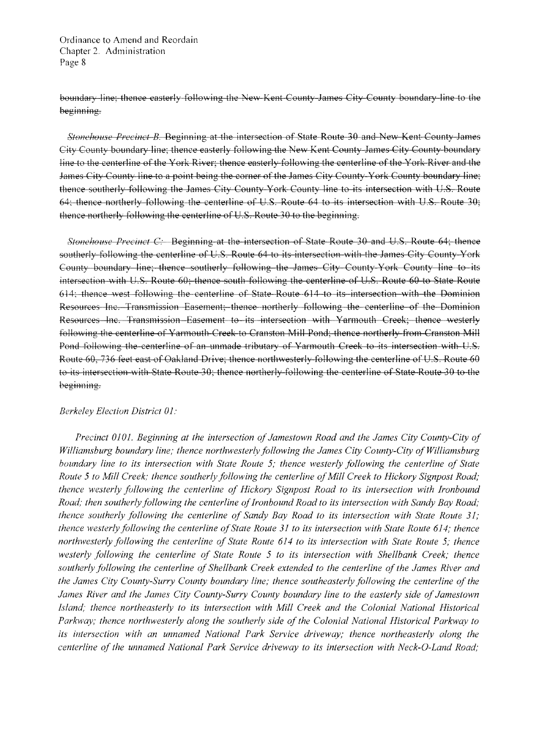boundary line; thence easterly following the New Kent County James City County boundary line to the beginning.

*Stonehouse Precinct B.* Beginning at the intersection of State Route 30 and New Kent County James City County boundary line; thence easterly following the New Kent County James City County boundary line to the centerline of the York River; thence easterly following the centerline of the York River and the James City County line to a point being the corner of the James City County-York County boundary line; thence southerly following the James City County York County line to its intersection with U.S. Route 64; thence northerly following the centerline of U.S. Route 64 to its intersection with U.S. Route 30; thence northerly following the centerline of U.S. Route 30 to the beginning.

*Stonehouse Precinct C:* Beginning at the intersection of State Route 30 and U.S. Route 64; thence southerly following the centerline of  $U.S.$  Route 64 to its intersection with the James City County York County boundary line; thence southerly following the James City County York County line to its intersection with U.S. Route 60; thence south following the centerline of U.S. Route 60 to State Route 614; thence west following the centerline of State Route 614 to its intersection with the Dominion Resources Inc. Transmission Easement; thence northerly following the centerline of the Dominion Resources Inc. Transmission Easement to its intersection with Yarmouth Creek; thence westerly following the centerline of Yarmouth Creek to Cranston Mill Pond; thence northerly from Cranston Mill Pond following the centerline of an unmade tributary of Yarmouth Creek to its intersection with U.S. Route 60, 736 feet east of Oakland Drive; thence northwesterly following the centerline of U.S. Route 60 to its intersection with State Route 30; thence northerly following the centerline of State Route 30 to the beginning.

#### *Berkeley Election District 01:*

*Precinct 0101. Beginning at the intersection of Jamestown Road and the James City County-City of Williamsburg boundary line; thence northwesterly following the James City County-City of Williamsburg houndary line to its intersection with State Route* 5; *thence westerly following the centerline of State Route 5 to Mill Creek; thence southerly following the centerline of Mill Creek to Hickory Signpost Road; thence 'westerly following the centerline of Hickory Signpost Road to its intersection with Ironbound*  Road; then southerly following the centerline of Ironbound Road to its intersection with Sandy Bay Road; *thence southerly following the centerline of Sandy Bay Road to its intersection with State Route 31; thence westerly following the centerline of State Route 31 to its intersection with State Route 614; thence northwesterly following the centerline of State Route* 614 *to its intersection with State Route* 5; *thence westerly following the centerline of State Route* 5 *to its intersection with Shellbank Creek; thence*  southerly following the centerline of Shellbank Creek extended to the centerline of the James River and *the James City County-Surry County boundary line; thence southeasterly following the centerline of the James River and the James City County-Surry County boundary line to the easterly side of Jamestown Island; thence northeasterly to its intersection with Mill Creek and the Colonial National Historical Parkway; thence northwesterly along the southerly side of the Colonial National Historical Parkway to*  its intersection with an unnamed National Park Service driveway; thence northeasterly along the *centerline of the unnamed National Park Service driveway to its intersection with Neck-O-Land Road;*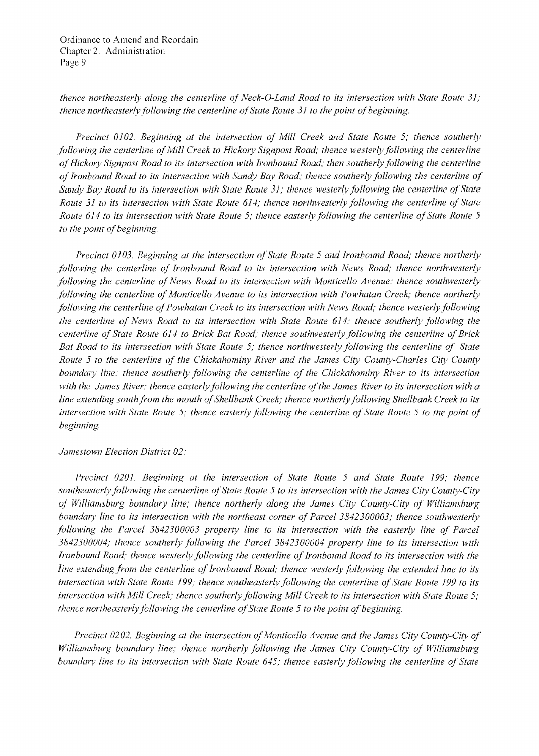*thence northeasterly along the centerline of Neck-O-Land Road to its intersection with State Route 31; thence northeasterly following the centerline of State Route 31 to the point of beginning.* 

*Precinct 0102. Beginning at the intersection of Mill Creek and State Route* 5; *thence southerly following the centerline of Mill Creek to Hickory Signpost Road; thence westerly following the centerline ofHickory Signpost Road to its intersection with Ironbound Road; then southerly following the centerline ofIronbound Road to its intersection with Sandy Bay Road; thence southerly following the centerline of Sandy Bay Road to its intersection with State Route 31; thence westerly following the centerline of State Route 31 to its intersection with State Route 614; thence northwesterly following the centerline of State Route 614 to its intersection with State Route 5; thence easterly following the centerline of State Route 5 to the point of beginning.* 

*Precinct 0103. Beginning at the intersection of State Route 5 and Ironbound Road; thence northerly following the centerline of Ironbound Road to its intersection with News Road; thence northwesterly following the centerline of News Road to its intersection with Monticello Avenue; thence southwesterly following the centerline of Monticello Avenue to its intersection with Powhatan Creek; thence northerly following the centerline of Powhatan Creek to its intersection with News Road; thence westerly following the centerline of News Road to its intersection with State Route* 614; *thence southerly following the centerline of State Route 614 to Brick Bat Road; thence southwesterly following the centerline of Brick Bat Road to its intersection with State Route* 5; *thence northwesterly following the centerline of State Route* 5 *to the centerline of the Chickahominy River and the James City County-Charles City County boundary line; thence southerly following the centerline of the Chickahominy River to its intersection with the James River; thence easterly following the centerline ofthe James River to its intersection with a*  line extending south from the mouth of Shellbank Creek; thence northerly following Shellbank Creek to its *intersection with State Route 5; thence easterly following the centerline of State Route 5 to the point of beginning.* 

#### *Jamestown Election District 02:*

*Precinct 0201. Beginning at the intersection of State Route* 5 *and State Route* 199; *thence southeasterly following the centerline ofState Route* 5 *to its intersection with the James City County-City of Williamsburg boundary line; thence northerly along the James City County-City of Williamsburg boundary line to its intersection with the northeast corner of Parcel 3842300003; thence southwesterly following the Parcel 3842300003 property line to its intersection with the easterly line of Parcel 3842300004; thence southerly following the Parcel 3842300004 property line to its intersection with Ironbound Road; thence westerly following the centerline of Ironbound Road to its intersection with the line extending from the centerline of Ironbound Road; thence westerly following the extended line to its intersection with State Route 199; thence southeasterly following the centerline of State Route 199 to its intersection with Mill Creek; thence southerly following Mill Creek to its intersection with State Route 5; thence northeasterly following the centerline of State Route 5 to the point of beginning.* 

Precinct 0202. Beginning at the intersection of Monticello Avenue and the James City County-City of *Williamsburg boundary line; thence northerly following the James City County-City of Williamsburg boundary line to its intersection with State Route* 645; *thence easterly following the centerline of State*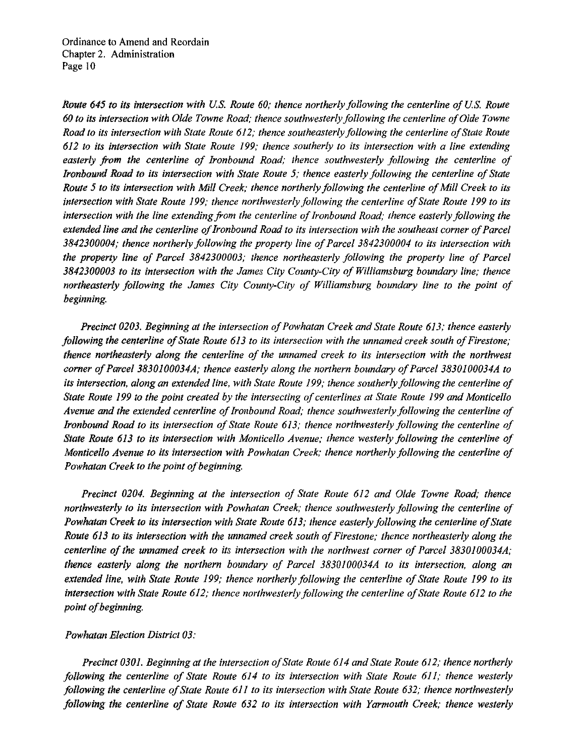*Route* 645 *to its intersection with U.S. Route* 60; thence northerly following the centerline of U.S. Route 60 to its intersection with Olde Towne Road; thence southwesterly following the centerline of Olde Towne *Rood to its intersection with State Route* 612; *thence southeasterly following the centerline ofState Route 612 to its intersection with State Route* 199; *thence southerly to its intersection with a line extending*  easterly from the centerline of Ironbound Road; thence southwesterly following the centerline of *Ironbound Road to its intersection with State Route 5; thence easterly following the centerline of State Route 5 to its intersection with Mill Creek; thence northerly following the centerline of Mill Creek to its intersection with State Route 199; thence northwesterly following the centerline ofState Route 199 to its*  intersection with the line extending from the centerline of Ironbound Road; thence easterly following the *extended line and the centerline of Ironbound Road to its intersection with the southeast corner of Parcel 3842300004; thence northerly following the property line ofParcel 3842300004 to its intersection with the property line of Parcel 3842300003; thence northeasterly following the property line of Parcel 3842300003 to its intersection with the James City County-City of Williamsburg boundary line; thence*  northeasterly following the James City County-City of Williamsburg boundary line to the point of *beginning.* 

*Precinct 0203. Beginning at the intersection of Powhatan Creek and State Route 613; thence easterly following the centerline of State Route 613 to its intersection with the unnamed creek south of Firestone; thence northeasterly along the centerline of the unnamed creek to* its *intersection with the northwest corner of Parcel 3830100034A; thence easterly along the northern boundary of Parcel 3830100034A to its intersection, along an extended line, with State Route 199; thence southerly following the centerline of State Route 199 to the point created by the intersecting of centerlines at State Route 199 and Monticello* Avenue and the extended centerline of Ironbound Road; thence southwesterly following the centerline of *Ironbound Road to* its *intersection ofState Route* 613; *thence northwesterly following the centerline of State Route* 613 *to* its *intersection with Monticello Avenue; thence westerly following the centerline of Monticello Avenue to its Intersection with Powhatan Creek; thence northerly following the centerline qf Powhatan Creek to the point of beginning.* 

*Precinct 0204. Beginning at the intersection of State Route 612 and Olde Towne Road; thence northwesterly to its intersection with Powhatan Creek; thence southwesterly following the centerline of Powhatan Creek to its intersection with State Route* 613; *thence easterly following the centerline ofState*  Route 613 to its intersection with the unnamed creek south of Firestone; thence northeasterly along the *centerline of the unnamed creek to its intersection with the northwest corner of Parcel 3830100034A; thence easterly along the northern boundary of Parcel 3830100034A to its intersection. along an extended line, with State Route 199; thence northerly following the centerline of State Route 199 to its intersection with State Route 612; thence northwesterly following the centerline of State Route 612 to the point of beginning.* 

### *Powhatan Election District 03:*

*Precinct 0301. Beginning at the intersection a/State Route* 614 *and State Route* 612; *thence northerly follOWing the centerline of State Route* 614 10 *its intersection with State Route* 611; *thence westerly following the centerline of State Route 611 to its intersection with State Route 632; thence northwesterly following the centerline of State Route 632 to its intersection with Yarmouth Creek; thence westerly*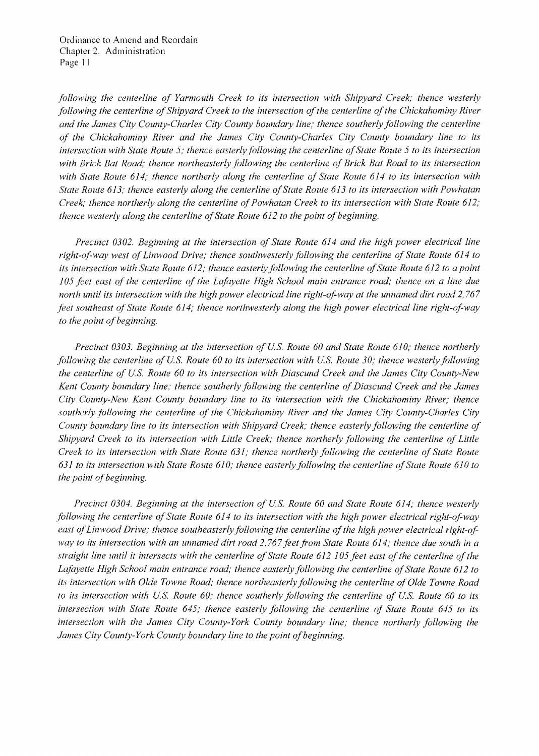*following the centerline of Yarmouth Creek to its intersection with Shipyard Creek; thence westerly following the centerline of Shipyard Creek to the intersection of the centerline of the Chickahominy River and the James City County-Charles City County boundary line; thence southerly following the centerline of the Chickahominy River and the James City County-Charles City County boundary line to its intersection with State Route* 5; *thence easterly following the centerline ofState Route* 5 *to its intersection*  with Brick Bat Road; thence northeasterly following the centerline of Brick Bat Road to its intersection *with State Route* 614; *thence northerly along the centerline of State Route* 614 *to its intersection with State Route* 613; *thence easterly along the centerline ofState Route* 613 *to its intersection with Powhatan Creek; thence northerly along the centerline of Powhatan Creek to its intersection with State Route 612; thence westerly along the centerline of State Route 612 to the point of beginning.* 

*Precinct 0302. Beginning at the intersection of State Route* 614 *and the high power electrical line*  right-of-way west of Linwood Drive; thence southwesterly following the centerline of State Route 614 to *its intersection with State Route* 612; *thence easterly following the centerline ofState Route* 612 *to a point 105 feet east of the centerline of the Lafayette High School main entrance road; thence on a line due north until its intersection with the high power electrical line right-of-way at the unnamed dirt road 2,767 feet southeast ofState Route* 614; *thence northwesterly along the high power electrical line right-of-way*  to the point of beginning.

*Precinct 0303. Beginning at the intersection of u.s. Route 60 and State Route 610; thence northerly following the centerline of U.S. Route 60 to its intersection with U.S. Route 30; thence westerly following the centerline of U.s. Route 60 to its intersection with Diascund Creek and the James City County-New Kent County boundary line: thence southerly following the centerline of Diascund Creek and the James City County-New Kent County boundary line to its intersection with the Chickahominy River; thence southerly following the centerline of the Chickahominy River and the James City County-Charles City County boundary line to its intersection with Shipyard Creek; thence easterly following the centerline of Shipyard Creek to its intersection with Little Creek; thence northerly following the centerline of Little Creek to its intersection with State Route* 631; *thence northerly following the centerline of State Route 631 to its intersection with State Route 610,' thence easterly following the centerline ofState Route 610 to the point of beginning.* 

*Precinct 0304. Beginning at the intersection of U.s. Route 60 and State Route* 614; *thence westerly following the centerline ofState Route* 614 *to its intersection with the high power electrical right-of-way*  east of Linwood Drive; thence southeasterly following the centerline of the high power electrical right-of*lvay to its intersection with an unnamed dirt road* 2, 767 *feet from State Route* 614; *thence due south in a*  straight line until it intersects with the centerline of State Route 612 105 feet east of the centerline of the Lafayette High School main entrance road; thence easterly following the centerline of State Route 612 to its intersection with Olde Towne Road; thence northeasterly following the centerline of Olde Towne Road to its intersection with U.S. Route 60; thence southerly following the centerline of U.S. Route 60 to its *intersection with State Route* 645; *thence easterly following the centerline of State Route* 645 *to its intersection with the James City County-York County boundary line; thence northerly following the*  James City County-York County boundary line to the point of beginning.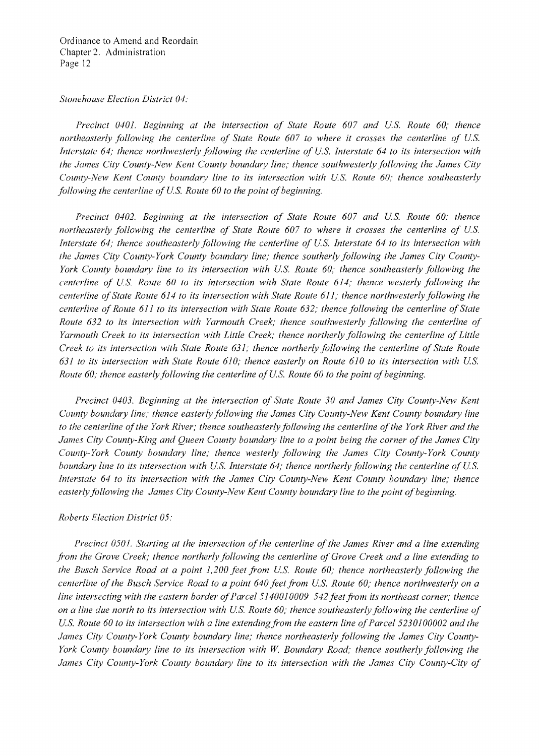### *Stonehouse Election District 04:*

*Precinct 0401. Beginning at the intersection of State Route 607 and Us. Route 60; thence*  northeasterly following the centerline of State Route 607 to where it crosses the centerline of U.S. *Interstate 64; thence northwesterly following the centerline of U.S. Interstate 64 to its intersection with the James City County-New Kent County boundary line; thence southwesterly following the James City* County-New Kent County boundary line to its intersection with U.S. Route 60; thence southeasterly *following the centerline of U.S. Route 60 to the point of beginning.* 

*Precinct 0402, Beginning at the intersection of State Route 607 and U.S. Route 60; thence northeasterly following the centerline of State Route 607 to where it crosses the centerline of U.S. Interstate 64; thence southeasterly following the centerline of U.S. Interstate 64 to its intersection with the James City County-York County boundary line; thence southerly following the James City County-York County boundary line to its intersection with U.S. Route 60; thence southeasterly following the centerline of U.S. Route 60 to its intersection with State Route 614; thence westerly following the centerline ofState Route* 614 *to its intersection with State Route* 611; *thence northwesterly following the centerline of Route 611 to its intersection with State Route 632; thence following the centerline of State Route* 632 *to its intersection with Yarmouth Creek; thence southwesterly following the centerline of Yarmouth Creek to its intersection with Little Creek; thence northerly following the centerline of Little Creek to its intersection with State Route* 631; *thence northerly following the centerline of State Route 631 to its intersection with State Route 610; thence easterly on Route 610 to its intersection with Us. Route 60; thence easterly following the centerline of U.S. Route 60 to the point of beginning.* 

*Precinct 0403, Beginning at the intersection of State Route 30 and James City County-New Kent County boundary line: thence easterly following the James City County-New Kent County boundary line to the centerline ofthe York River; thence southeasterly following the centerline ofthe York River and the*  James City County-King and Queen County boundary line to a point being the corner of the James City *County-York County boundary line; thence westerly following the James City County-York County boundary line to its intersection with U.S. Interstate 64; thence northerly following the centerline of U.S. Interstate* 64 *to its intersection with the James City County-New Kent County boundary line; thence*  easterly following the James City County-New Kent County boundary line to the point of beginning.

## *Roberts Election District 05:*

*Precinct 0501. Starting at the intersection of the centerline of the James River and a line extending from the Grove Creek; thence northerly following the centerline of Grove Creek and a line extending to* the Busch Service Road at a point 1,200 feet from U.S. Route 60; thence northeasterly following the *centerline of the Busch Service Road to a point 640 feet from U.S. Route 60; thence northwesterly on a line intersecting with the eastern border ofParcel 5140010009* 542 *feet from its northeast corner; thence on a line due north to its intersection with US. Route 60; thence southeasterly following the centerline of*  U.S. Route 60 to its intersection with a line extending from the eastern line of Parcel 5230100002 and the *James City County-York County boundary line; thence northeasterly following the James City County-York County boundary line to its intersection with* W. *Boundary Road; thence southerly following the James City County-York County boundary line to its intersection with the James City County-City of*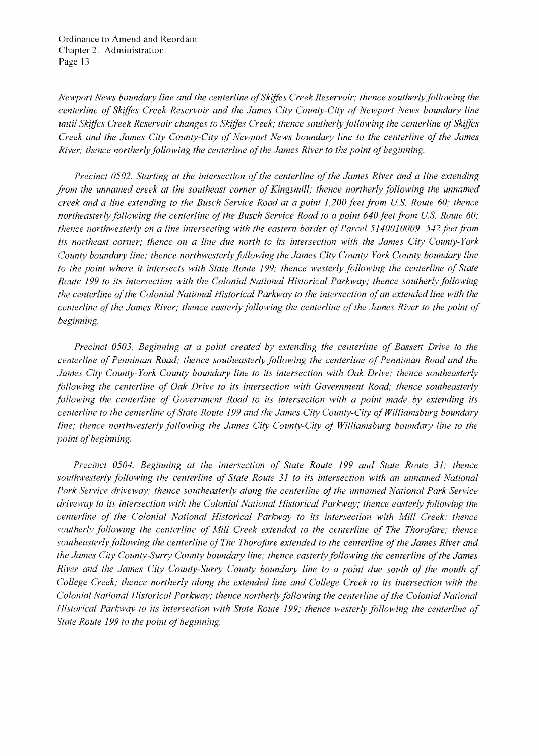*Newport News boundary line and the centerline ofSkiffes Creek Reservoir; thence southerly following the centerline of Skiffes Creek Reservoir and the James City County-City of Newport News boundary line until Skiffes Creek Reservoir changes to Skiffes Creek; thence southerly following the centerline of Skiffes Creek and the James City County-City of Newport News boundary line to the centerline of the James River; thence northerly following the centerline of the James River to the point of beginning.* 

*Precinct 0502. Starting at the intersection of the centerline of the James River and a line extending from the unnamed creek at the southeast corner of Kingsmill; thence northerly following the unnamed creek and a line extending to the Busch Service Road at a point 1,200 feet from U.S. Route 60; thence northeasterly following the centerline of the Busch Service Road to a point 640 feet from U.S. Route 60; thence northwesterly on a line intersecting with the eastern border of Parcel 5140010009 542 feet from its northeast corner; thence on a line due north to its intersection with the James City County-York County boundmy line, thence northwesterly following the James City County-York County boundary line to the point where it intersects with State Route* 199; *thence westerly following the centerline of State Route* 199 *to its intersection with the Colonial National Historical Parkway; thence southerly follmving the centerline ofthe Colonial National Historical Parkway to the intersection ofan extended line with the centerline of the James River; thence easterly following the centerline of the James River to the point of beginning.* 

*Precinct 0503. Beginning at a point created by extending the centerline of Bassett Drive to the centerline of Penniman Road; thence southeasterly following the centerline of Penniman Road and the James City County-York County boundary line to its intersection with Oak Drive; thence southeasterly*  following the centerline of Oak Drive to its intersection with Government Road; thence southeasterly *following the centerline of Government Road to its intersection with a point made by extending its centerline to the centerline ofState Route* 199 *and the James City County-City of Williamsburg boundary line; thence northwesterly following the James City County-City of Williamsburg boundary line to the point of beginning.* 

*Precinct 0504. Beginning at the intersection of State Route* 199 *and State Route* 31; *thence southwesterly following the centerline of State Route* 31 *to its intersection with an unnamed National*  Park Service driveway; thence southeasterly along the centerline of the unnamed National Park Service *driveway to its intersection with the Colonial National Historical Parkway; thence easterly following the centerline of the Colonial National Historical Parkway to its intersection with Mill Creek; thence southerly following the centerline of Mill Creek extended to the centerline of The Thorofare; thence southeasterlyfollowing the centerline ofThe Thorofare extended to the centerline ofthe James River and the James City County-Surry County boundary line; thence easterly following the centerline ofthe James River and the James City County-Surry County boundary line to a point due south of the mouth of College Creek; thence northerly along the extended line and College Creek to its intersection with the Colonial National Historical Parkway,' thence northerly following the centerline ofthe Colonial National Historical Parkway to its intersection with State Route* 199; *thence westerly following the centerline of*  **State Route 199 to the point of beginning.**